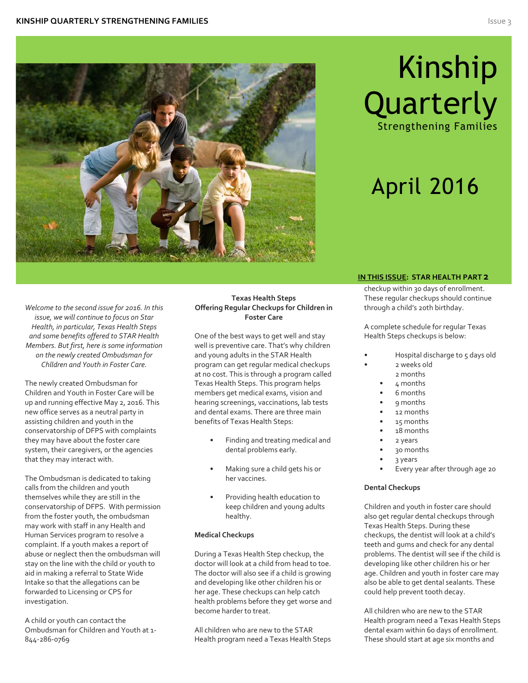

# Kinship **Quarterly**

Strengthening Families

# April 2016

*Welcome to the second issue for 2016. In this issue, we will continue to focus on Star Health, in particular, Texas Health Steps and some benefits offered to STAR Health Members. But first, here is some information on the newly created Ombudsman for Chlldren and Youth in Foster Care.*

The newly created Ombudsman for Children and Youth in Foster Care will be up and running effective May 2, 2016. This new office serves as a neutral party in assisting children and youth in the conservatorship of DFPS with complaints they may have about the foster care system, their caregivers, or the agencies that they may interact with.

The Ombudsman is dedicated to taking calls from the children and youth themselves while they are still in the conservatorship of DFPS. With permission from the foster youth, the ombudsman may work with staff in any Health and Human Services program to resolve a complaint. If a youth makes a report of abuse or neglect then the ombudsman will stay on the line with the child or youth to aid in making a referral to State Wide Intake so that the allegations can be forwarded to Licensing or CPS for investigation.

A child or youth can contact the Ombudsman for Children and Youth at 1- 844-286-0769

### **Texas Health Steps Offering Regular Checkups for Children in Foster Care**

One of the best ways to get well and stay well is preventive care. That's why children and young adults in the STAR Health program can get regular medical checkups at no cost. This is through a program called Texas Health Steps. This program helps members get medical exams, vision and hearing screenings, vaccinations, lab tests and dental exams. There are three main benefits of Texas Health Steps:

- Finding and treating medical and dental problems early.
- Making sure a child gets his or her vaccines.
- Providing health education to keep children and young adults healthy.

### **Medical Checkups**

During a Texas Health Step checkup, the doctor will look at a child from head to toe. The doctor will also see if a child is growing and developing like other children his or her age. These checkups can help catch health problems before they get worse and become harder to treat.

All children who are new to the STAR Health program need a Texas Health Steps

### **IN THIS ISSUE: STAR HEALTH PART 2**

checkup within 30 days of enrollment. These regular checkups should continue through a child's 20th birthday.

A complete schedule for regular Texas Health Steps checkups is below:

- Hospital discharge to 5 days old
	- 2 weeks old
		- 2 months
	- 4 months
	- 6 months
	- 9 months
	- 12 months
	- 15 months
	- 18 months
	- 2 years
	- 30 months
	- 3 years
	- Every year after through age 20

### **Dental Checkups**

Children and youth in foster care should also get regular dental checkups through Texas Health Steps. During these checkups, the dentist will look at a child's teeth and gums and check for any dental problems. The dentist will see if the child is developing like other children his or her age. Children and youth in foster care may also be able to get dental sealants. These could help prevent tooth decay.

All children who are new to the STAR Health program need a Texas Health Steps dental exam within 60 days of enrollment. These should start at age six months and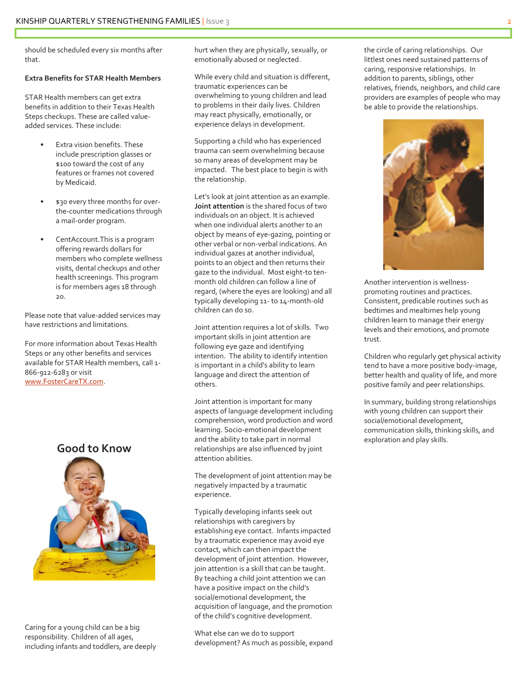should be scheduled every six months after that.

#### **Extra Benefits for STAR Health Members**

STAR Health members can get extra benefits in addition to their Texas Health Steps checkups. These are called valueadded services. These include:

- Extra vision benefits. These include prescription glasses or \$100 toward the cost of any features or frames not covered by Medicaid.
- \$30 every three months for overthe-counter medications through a mail-order program.
- CentAccount. This is a program offering rewards dollars for members who complete wellness visits, dental checkups and other health screenings. This program is for members ages 18 through 20.

Please note that value-added services may have restrictions and limitations.

For more information about Texas Health Steps or any other benefits and services available for STAR Health members, call 1- 866-912-6283 or visit [www.FosterCareTX.com.](http://www.fostercaretx.com/)



Caring for a young child can be a big responsibility. Children of all ages, including infants and toddlers, are deeply hurt when they are physically, sexually, or emotionally abused or neglected.

While every child and situation is different, traumatic experiences can be overwhelming to young children and lead to problems in their daily lives. Children may react physically, emotionally, or experience delays in development.

Supporting a child who has experienced trauma can seem overwhelming because so many areas of development may be impacted. The best place to begin is with the relationship.

Let's look at joint attention as an example. **Joint attention** is the shared focus of two individuals on an object. It is achieved when one individual alerts another to an object by means of eye-gazing, pointing or other verbal or non-verbal indications. An individual gazes at another individual, points to an object and then returns their gaze to the individual. Most eight-to tenmonth old children can follow a line of regard, (where the eyes are looking) and all typically developing 11- to 14-month-old children can do so.

Joint attention requires a lot of skills. Two important skills in joint attention are following eye gaze and identifying intention. The ability to identify intention is important in a child's ability to learn language and direct the attention of others.

Joint attention is important for many aspects of language development including comprehension, word production and word learning. Socio-emotional development and the ability to take part in normal relationships are also influenced by joint attention abilities.

The development of joint attention may be negatively impacted by a traumatic experience.

Typically developing infants seek out relationships with caregivers by establishing eye contact. Infants impacted by a traumatic experience may avoid eye contact, which can then impact the development of joint attention. However, join attention is a skill that can be taught. By teaching a child joint attention we can have a positive impact on the child's social/emotional development, the acquisition of language, and the promotion of the child's cognitive development.

What else can we do to support development? As much as possible, expand the circle of caring relationships. Our littlest ones need sustained patterns of caring, responsive relationships. In addition to parents, siblings, other relatives, friends, neighbors, and child care providers are examples of people who may be able to provide the relationships.



Another intervention is wellnesspromoting routines and practices. Consistent, predicable routines such as bedtimes and mealtimes help young children learn to manage their energy levels and their emotions, and promote trust.

Children who regularly get physical activity tend to have a more positive body-image, better health and quality of life, and more positive family and peer relationships.

In summary, building strong relationships with young children can support their social/emotional development, communication skills, thinking skills, and exploration and play skills.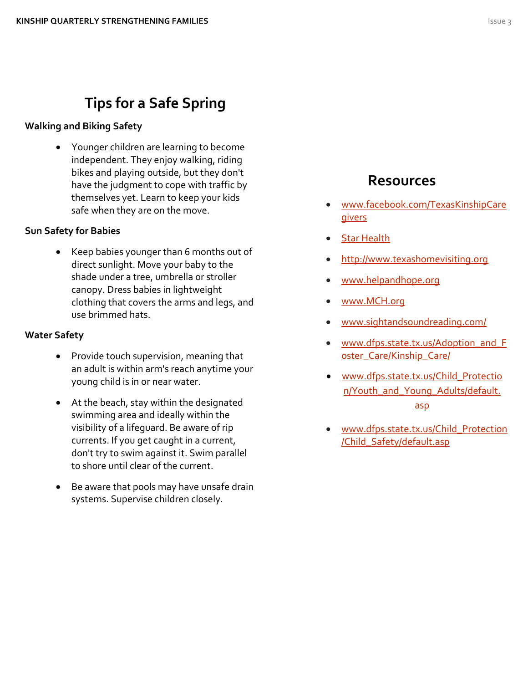### **Tips for a Safe Spring**

### **Walking and Biking Safety**

 Younger children are learning to become independent. They enjoy walking, riding bikes and playing outside, but they don't have the judgment to cope with traffic by themselves yet. Learn to keep your kids safe when they are on the move.

### **Sun Safety for Babies**

 Keep babies younger than 6 months out of direct sunlight. Move your baby to the shade under a tree, umbrella or stroller canopy. Dress babies in lightweight clothing that covers the arms and legs, and use brimmed hats.

### **Water Safety**

- Provide touch supervision, meaning that an adult is within arm's reach anytime your young child is in or near water.
- At the beach, stay within the designated swimming area and ideally within the visibility of a lifeguard. Be aware of rip currents. If you get caught in a current, don't try to swim against it. Swim parallel to shore until clear of the current.
- Be aware that pools may have unsafe drain systems. Supervise children closely.

### **Resources**

- [www.facebook.com/TexasKinshipCare](http://www.facebook.com/TexasKinshipCaregivers) [givers](http://www.facebook.com/TexasKinshipCaregivers)
- [Star Health](https://www.dfps.state.tx.us/Child_Protection/Medical_Services/guide-star.asp)
- [http://www.texashomevisiting.org](http://www.texashomevisiting.org/)
- [www.helpandhope.org](http://www.helpandhope.org/)
- [www.MCH.org](http://www.mch.org/)
- [www.sightandsoundreading.com/](http://www.sightandsoundreading.com/)
- [www.dfps.state.tx.us/Adoption\\_and\\_F](http://www.dfps.state.tx.us/Adoption_and_Foster_Care/Kinship_Care/) oster Care/Kinship Care/
- [www.dfps.state.tx.us/Child\\_Protectio](http://www.dfps.state.tx.us/Child_Protection/Youth_and_Young_Adults/default.asp) [n/Youth\\_and\\_Young\\_Adults/default.](http://www.dfps.state.tx.us/Child_Protection/Youth_and_Young_Adults/default.asp) [asp](http://www.dfps.state.tx.us/Child_Protection/Youth_and_Young_Adults/default.asp)
- [www.dfps.state.tx.us/Child\\_Protection](http://www.dfps.state.tx.us/Child_Protection/Child_Safety/default.asp) [/Child\\_Safety/default.asp](http://www.dfps.state.tx.us/Child_Protection/Child_Safety/default.asp)